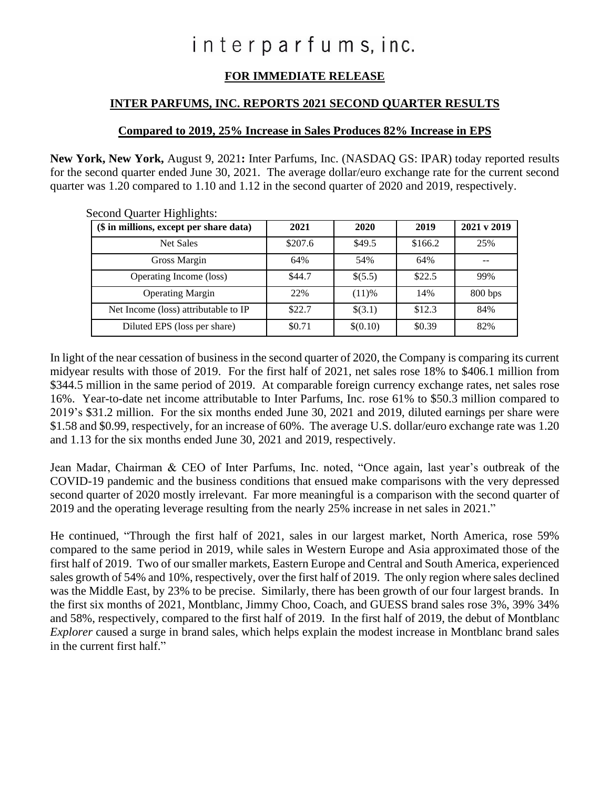# interparfums, inc.

# **FOR IMMEDIATE RELEASE**

### **INTER PARFUMS, INC. REPORTS 2021 SECOND QUARTER RESULTS**

#### **Compared to 2019, 25% Increase in Sales Produces 82% Increase in EPS**

**New York, New York,** August 9, 2021**:** Inter Parfums, Inc. (NASDAQ GS: IPAR) today reported results for the second quarter ended June 30, 2021. The average dollar/euro exchange rate for the current second quarter was 1.20 compared to 1.10 and 1.12 in the second quarter of 2020 and 2019, respectively.

| (\$ in millions, except per share data) | 2021    | 2020     | 2019    | 2021 v 2019 |
|-----------------------------------------|---------|----------|---------|-------------|
| <b>Net Sales</b>                        | \$207.6 | \$49.5   | \$166.2 | 25%         |
| Gross Margin                            | 64%     | 54%      | 64%     |             |
| Operating Income (loss)                 | \$44.7  | \$(5.5)  | \$22.5  | 99%         |
| <b>Operating Margin</b>                 | 22%     | (11)%    | 14%     | 800 bps     |
| Net Income (loss) attributable to IP    | \$22.7  | \$(3.1)  | \$12.3  | 84%         |
| Diluted EPS (loss per share)            | \$0.71  | \$(0.10) | \$0.39  | 82%         |

Second Quarter Highlights:

In light of the near cessation of business in the second quarter of 2020, the Company is comparing its current midyear results with those of 2019. For the first half of 2021, net sales rose 18% to \$406.1 million from \$344.5 million in the same period of 2019. At comparable foreign currency exchange rates, net sales rose 16%. Year-to-date net income attributable to Inter Parfums, Inc. rose 61% to \$50.3 million compared to 2019's \$31.2 million. For the six months ended June 30, 2021 and 2019, diluted earnings per share were \$1.58 and \$0.99, respectively, for an increase of 60%. The average U.S. dollar/euro exchange rate was 1.20 and 1.13 for the six months ended June 30, 2021 and 2019, respectively.

Jean Madar, Chairman & CEO of Inter Parfums, Inc. noted, "Once again, last year's outbreak of the COVID-19 pandemic and the business conditions that ensued make comparisons with the very depressed second quarter of 2020 mostly irrelevant. Far more meaningful is a comparison with the second quarter of 2019 and the operating leverage resulting from the nearly 25% increase in net sales in 2021."

He continued, "Through the first half of 2021, sales in our largest market, North America, rose 59% compared to the same period in 2019, while sales in Western Europe and Asia approximated those of the first half of 2019. Two of our smaller markets, Eastern Europe and Central and South America, experienced sales growth of 54% and 10%, respectively, over the first half of 2019. The only region where sales declined was the Middle East, by 23% to be precise. Similarly, there has been growth of our four largest brands. In the first six months of 2021, Montblanc, Jimmy Choo, Coach, and GUESS brand sales rose 3%, 39% 34% and 58%, respectively, compared to the first half of 2019. In the first half of 2019, the debut of Montblanc *Explorer* caused a surge in brand sales, which helps explain the modest increase in Montblanc brand sales in the current first half."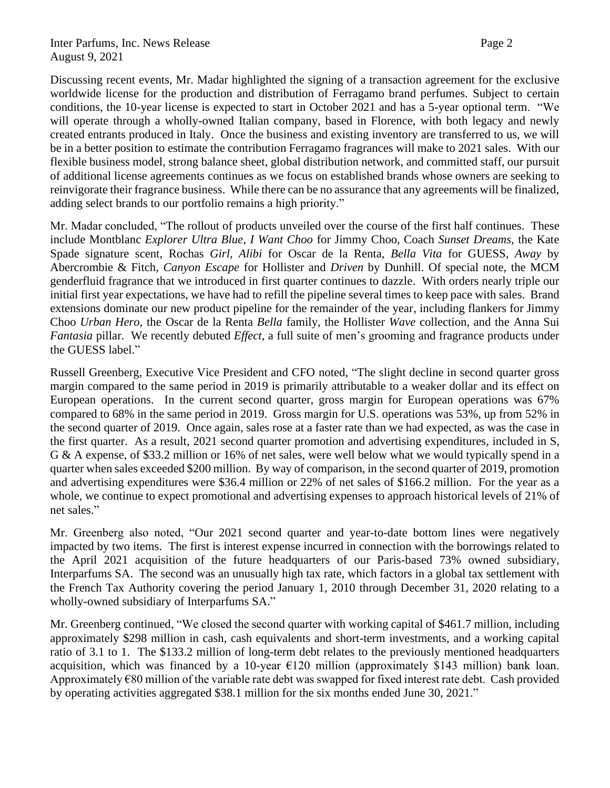Discussing recent events, Mr. Madar highlighted the signing of a transaction agreement for the exclusive worldwide license for the production and distribution of Ferragamo brand perfumes. Subject to certain conditions, the 10-year license is expected to start in October 2021 and has a 5-year optional term. "We will operate through a wholly-owned Italian company, based in Florence, with both legacy and newly created entrants produced in Italy. Once the business and existing inventory are transferred to us, we will be in a better position to estimate the contribution Ferragamo fragrances will make to 2021 sales. With our flexible business model, strong balance sheet, global distribution network, and committed staff, our pursuit of additional license agreements continues as we focus on established brands whose owners are seeking to reinvigorate their fragrance business. While there can be no assurance that any agreements will be finalized, adding select brands to our portfolio remains a high priority."

Mr. Madar concluded, "The rollout of products unveiled over the course of the first half continues. These include Montblanc *Explorer Ultra Blue*, *I Want Choo* for Jimmy Choo, Coach *Sunset Dreams*, the Kate Spade signature scent, Rochas *Girl*, *Alibi* for Oscar de la Renta, *Bella Vita* for GUESS, *Away* by Abercrombie & Fitch, *Canyon Escape* for Hollister and *Driven* by Dunhill. Of special note, the MCM genderfluid fragrance that we introduced in first quarter continues to dazzle. With orders nearly triple our initial first year expectations, we have had to refill the pipeline several times to keep pace with sales. Brand extensions dominate our new product pipeline for the remainder of the year, including flankers for Jimmy Choo *Urban Hero,* the Oscar de la Renta *Bella* family, the Hollister *Wave* collection, and the Anna Sui *Fantasia* pillar. We recently debuted *Effect*, a full suite of men's grooming and fragrance products under the GUESS label."

Russell Greenberg, Executive Vice President and CFO noted, "The slight decline in second quarter gross margin compared to the same period in 2019 is primarily attributable to a weaker dollar and its effect on European operations. In the current second quarter, gross margin for European operations was 67% compared to 68% in the same period in 2019. Gross margin for U.S. operations was 53%, up from 52% in the second quarter of 2019. Once again, sales rose at a faster rate than we had expected, as was the case in the first quarter. As a result, 2021 second quarter promotion and advertising expenditures, included in S, G & A expense, of \$33.2 million or 16% of net sales, were well below what we would typically spend in a quarter when sales exceeded \$200 million. By way of comparison, in the second quarter of 2019, promotion and advertising expenditures were \$36.4 million or 22% of net sales of \$166.2 million. For the year as a whole, we continue to expect promotional and advertising expenses to approach historical levels of 21% of net sales."

Mr. Greenberg also noted, "Our 2021 second quarter and year-to-date bottom lines were negatively impacted by two items. The first is interest expense incurred in connection with the borrowings related to the April 2021 acquisition of the future headquarters of our Paris-based 73% owned subsidiary, Interparfums SA. The second was an unusually high tax rate, which factors in a global tax settlement with the French Tax Authority covering the period January 1, 2010 through December 31, 2020 relating to a wholly-owned subsidiary of Interparfums SA."

Mr. Greenberg continued, "We closed the second quarter with working capital of \$461.7 million, including approximately \$298 million in cash, cash equivalents and short-term investments, and a working capital ratio of 3.1 to 1. The \$133.2 million of long-term debt relates to the previously mentioned headquarters acquisition, which was financed by a 10-year  $E120$  million (approximately \$143 million) bank loan. Approximately  $\epsilon$ 80 million of the variable rate debt was swapped for fixed interest rate debt. Cash provided by operating activities aggregated \$38.1 million for the six months ended June 30, 2021."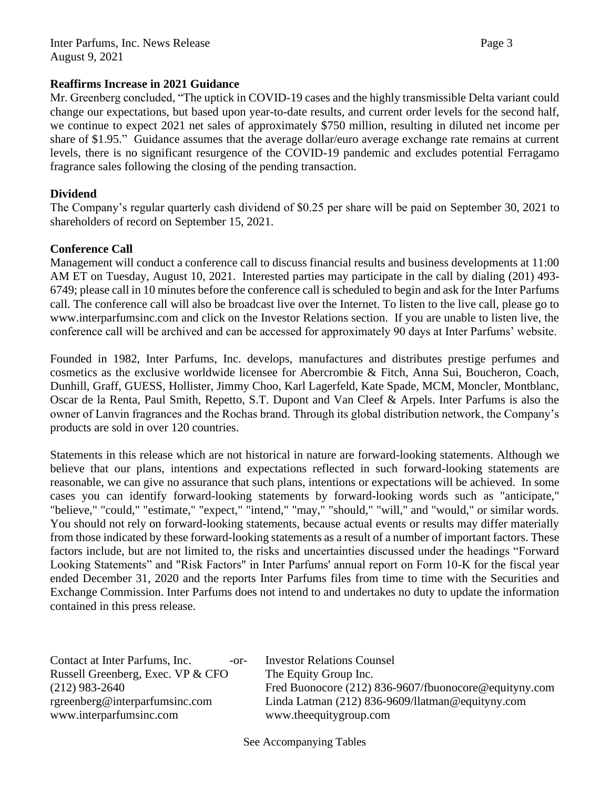#### **Reaffirms Increase in 2021 Guidance**

Mr. Greenberg concluded, "The uptick in COVID-19 cases and the highly transmissible Delta variant could change our expectations, but based upon year-to-date results, and current order levels for the second half, we continue to expect 2021 net sales of approximately \$750 million, resulting in diluted net income per share of \$1.95." Guidance assumes that the average dollar/euro average exchange rate remains at current levels, there is no significant resurgence of the COVID-19 pandemic and excludes potential Ferragamo fragrance sales following the closing of the pending transaction.

#### **Dividend**

The Company's regular quarterly cash dividend of \$0.25 per share will be paid on September 30, 2021 to shareholders of record on September 15, 2021.

# **Conference Call**

Management will conduct a conference call to discuss financial results and business developments at 11:00 AM ET on Tuesday, August 10, 2021. Interested parties may participate in the call by dialing (201) 493- 6749; please call in 10 minutes before the conference call is scheduled to begin and ask for the Inter Parfums call. The conference call will also be broadcast live over the Internet. To listen to the live call, please go to [www.interparfumsinc.com](http://www.interparfumsinc.com/) and click on the Investor Relations section. If you are unable to listen live, the conference call will be archived and can be accessed for approximately 90 days at Inter Parfums' website.

Founded in 1982, Inter Parfums, Inc. develops, manufactures and distributes prestige perfumes and cosmetics as the exclusive worldwide licensee for Abercrombie & Fitch, Anna Sui, Boucheron, Coach, Dunhill, Graff, GUESS, Hollister, Jimmy Choo, Karl Lagerfeld, Kate Spade, MCM, Moncler, Montblanc, Oscar de la Renta, Paul Smith, Repetto, S.T. Dupont and Van Cleef & Arpels. Inter Parfums is also the owner of Lanvin fragrances and the Rochas brand. Through its global distribution network, the Company's products are sold in over 120 countries.

Statements in this release which are not historical in nature are forward-looking statements. Although we believe that our plans, intentions and expectations reflected in such forward-looking statements are reasonable, we can give no assurance that such plans, intentions or expectations will be achieved. In some cases you can identify forward-looking statements by forward-looking words such as "anticipate," "believe," "could," "estimate," "expect," "intend," "may," "should," "will," and "would," or similar words. You should not rely on forward-looking statements, because actual events or results may differ materially from those indicated by these forward-looking statements as a result of a number of important factors. These factors include, but are not limited to, the risks and uncertainties discussed under the headings "Forward Looking Statements" and "Risk Factors" in Inter Parfums' annual report on Form 10-K for the fiscal year ended December 31, 2020 and the reports Inter Parfums files from time to time with the Securities and Exchange Commission. Inter Parfums does not intend to and undertakes no duty to update the information contained in this press release.

| Contact at Inter Parfums, Inc.<br>$-0r-$ | <b>Investor Relations Counsel</b>                     |
|------------------------------------------|-------------------------------------------------------|
| Russell Greenberg, Exec. VP & CFO        | The Equity Group Inc.                                 |
| $(212)$ 983-2640                         | Fred Buonocore (212) 836-9607/fbuonocore@equityny.com |
| rgreenberg@interparfumsinc.com           | Linda Latman $(212)$ 836-9609/llatman@equityny.com    |
| www.interparfumsinc.com                  | www.theequitygroup.com                                |
|                                          |                                                       |

See Accompanying Tables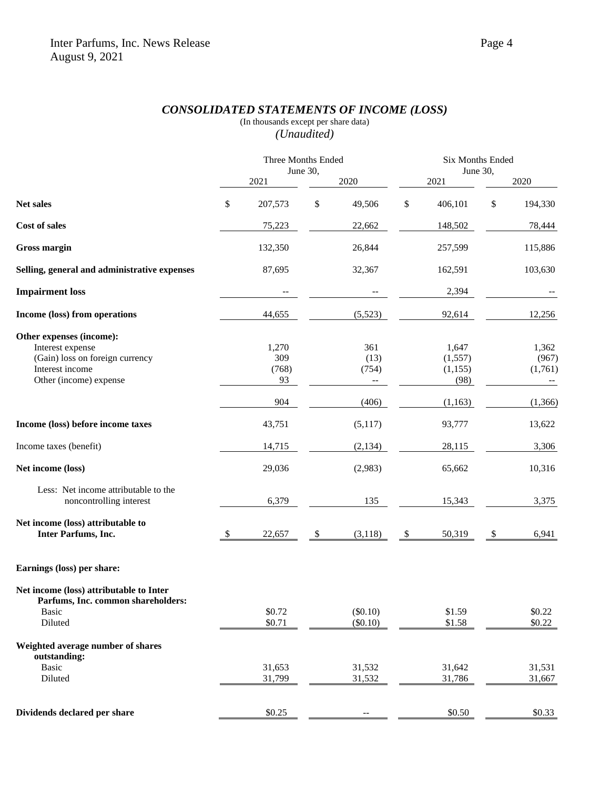#### *CONSOLIDATED STATEMENTS OF INCOME (LOSS)*

(In thousands except per share data) *(Unaudited)*

|                                                   | Three Months Ended<br>June 30, |         |    | <b>Six Months Ended</b> |                           |                  |              |         |
|---------------------------------------------------|--------------------------------|---------|----|-------------------------|---------------------------|------------------|--------------|---------|
|                                                   |                                | 2021    |    | 2020                    |                           | June 30,<br>2021 |              | 2020    |
|                                                   |                                |         |    |                         |                           |                  |              |         |
| Net sales                                         | \$                             | 207,573 | \$ | 49,506                  | \$                        | 406,101          | \$           | 194,330 |
| <b>Cost of sales</b>                              |                                | 75,223  |    | 22,662                  |                           | 148,502          |              | 78,444  |
| <b>Gross margin</b>                               |                                | 132,350 |    | 26,844                  |                           | 257,599          |              | 115,886 |
| Selling, general and administrative expenses      |                                | 87,695  |    | 32,367                  |                           | 162,591          |              | 103,630 |
| <b>Impairment</b> loss                            |                                |         |    |                         |                           | 2,394            |              |         |
| Income (loss) from operations                     |                                | 44,655  |    | (5,523)                 |                           | 92,614           |              | 12,256  |
| Other expenses (income):                          |                                |         |    |                         |                           |                  |              |         |
| Interest expense                                  |                                | 1,270   |    | 361                     |                           | 1,647            |              | 1,362   |
| (Gain) loss on foreign currency                   |                                | 309     |    | (13)                    |                           | (1,557)          |              | (967)   |
| Interest income                                   |                                | (768)   |    | (754)                   |                           | (1,155)          |              | (1,761) |
| Other (income) expense                            |                                | 93      |    | $-$                     |                           | (98)             |              | $-\, -$ |
|                                                   |                                | 904     |    | (406)                   |                           | (1,163)          |              | (1,366) |
| Income (loss) before income taxes                 |                                | 43,751  |    | (5,117)                 |                           | 93,777           |              | 13,622  |
| Income taxes (benefit)                            |                                | 14,715  |    | (2, 134)                |                           | 28,115           |              | 3,306   |
| Net income (loss)                                 |                                | 29,036  |    | (2,983)                 |                           | 65,662           |              | 10,316  |
| Less: Net income attributable to the              |                                |         |    |                         |                           |                  |              |         |
| noncontrolling interest                           |                                | 6,379   |    | 135                     |                           | 15,343           |              | 3,375   |
| Net income (loss) attributable to                 |                                | 22,657  |    |                         |                           |                  |              |         |
| Inter Parfums, Inc.                               | \$                             |         | \$ | (3, 118)                | $\boldsymbol{\mathsf{S}}$ | 50,319           | $\mathbb{S}$ | 6,941   |
| Earnings (loss) per share:                        |                                |         |    |                         |                           |                  |              |         |
| Net income (loss) attributable to Inter           |                                |         |    |                         |                           |                  |              |         |
| Parfums, Inc. common shareholders:                |                                |         |    |                         |                           |                  |              |         |
| <b>Basic</b>                                      |                                | \$0.72  |    | (\$0.10)                |                           | \$1.59           |              | \$0.22  |
| Diluted                                           |                                | \$0.71  |    | (\$0.10)                |                           | \$1.58           |              | \$0.22  |
| Weighted average number of shares<br>outstanding: |                                |         |    |                         |                           |                  |              |         |
| Basic                                             |                                | 31,653  |    | 31,532                  |                           | 31,642           |              | 31,531  |
| Diluted                                           |                                | 31,799  |    | 31,532                  |                           | 31,786           |              | 31,667  |
|                                                   |                                |         |    |                         |                           |                  |              |         |
| Dividends declared per share                      |                                | \$0.25  |    |                         |                           | \$0.50           |              | \$0.33  |
|                                                   |                                |         |    |                         |                           |                  |              |         |